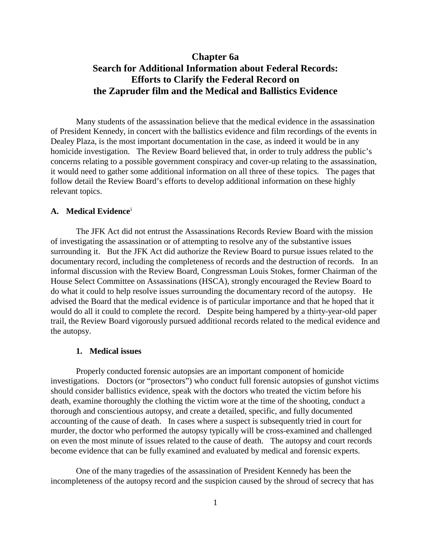# **Chapter 6a Search for Additional Information about Federal Records: Efforts to Clarify the Federal Record on the Zapruder film and the Medical and Ballistics Evidence**

Many students of the assassination believe that the medical evidence in the assassination of President Kennedy, in concert with the ballistics evidence and film recordings of the events in Dealey Plaza, is the most important documentation in the case, as indeed it would be in any homicide investigation. The Review Board believed that, in order to truly address the public's concerns relating to a possible government conspiracy and cover-up relating to the assassination, it would need to gather some additional information on all three of these topics. The pages that follow detail the Review Board's efforts to develop additional information on these highly relevant topics.

#### **A. Medical Evidence**[i](#page-7-0)

The JFK Act did not entrust the Assassinations Records Review Board with the mission of investigating the assassination or of attempting to resolve any of the substantive issues surrounding it. But the JFK Act did authorize the Review Board to pursue issues related to the documentary record, including the completeness of records and the destruction of records. In an informal discussion with the Review Board, Congressman Louis Stokes, former Chairman of the House Select Committee on Assassinations (HSCA), strongly encouraged the Review Board to do what it could to help resolve issues surrounding the documentary record of the autopsy. He advised the Board that the medical evidence is of particular importance and that he hoped that it would do all it could to complete the record. Despite being hampered by a thirty-year-old paper trail, the Review Board vigorously pursued additional records related to the medical evidence and the autopsy.

#### **1. Medical issues**

Properly conducted forensic autopsies are an important component of homicide investigations. Doctors (or "prosectors") who conduct full forensic autopsies of gunshot victims should consider ballistics evidence, speak with the doctors who treated the victim before his death, examine thoroughly the clothing the victim wore at the time of the shooting, conduct a thorough and conscientious autopsy, and create a detailed, specific, and fully documented accounting of the cause of death. In cases where a suspect is subsequently tried in court for murder, the doctor who performed the autopsy typically will be cross-examined and challenged on even the most minute of issues related to the cause of death. The autopsy and court records become evidence that can be fully examined and evaluated by medical and forensic experts.

One of the many tragedies of the assassination of President Kennedy has been the incompleteness of the autopsy record and the suspicion caused by the shroud of secrecy that has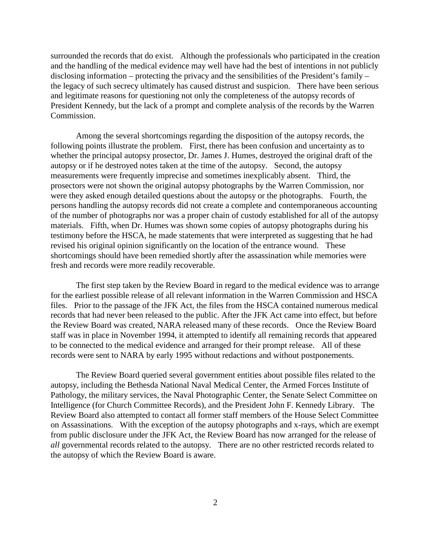surrounded the records that do exist. Although the professionals who participated in the creation and the handling of the medical evidence may well have had the best of intentions in not publicly disclosing information – protecting the privacy and the sensibilities of the President's family – the legacy of such secrecy ultimately has caused distrust and suspicion. There have been serious and legitimate reasons for questioning not only the completeness of the autopsy records of President Kennedy, but the lack of a prompt and complete analysis of the records by the Warren Commission.

Among the several shortcomings regarding the disposition of the autopsy records, the following points illustrate the problem. First, there has been confusion and uncertainty as to whether the principal autopsy prosector, Dr. James J. Humes, destroyed the original draft of the autopsy or if he destroyed notes taken at the time of the autopsy. Second, the autopsy measurements were frequently imprecise and sometimes inexplicably absent. Third, the prosectors were not shown the original autopsy photographs by the Warren Commission, nor were they asked enough detailed questions about the autopsy or the photographs. Fourth, the persons handling the autopsy records did not create a complete and contemporaneous accounting of the number of photographs nor was a proper chain of custody established for all of the autopsy materials. Fifth, when Dr. Humes was shown some copies of autopsy photographs during his testimony before the HSCA, he made statements that were interpreted as suggesting that he had revised his original opinion significantly on the location of the entrance wound. These shortcomings should have been remedied shortly after the assassination while memories were fresh and records were more readily recoverable.

The first step taken by the Review Board in regard to the medical evidence was to arrange for the earliest possible release of all relevant information in the Warren Commission and HSCA files. Prior to the passage of the JFK Act, the files from the HSCA contained numerous medical records that had never been released to the public. After the JFK Act came into effect, but before the Review Board was created, NARA released many of these records. Once the Review Board staff was in place in November 1994, it attempted to identify all remaining records that appeared to be connected to the medical evidence and arranged for their prompt release. All of these records were sent to NARA by early 1995 without redactions and without postponements.

The Review Board queried several government entities about possible files related to the autopsy, including the Bethesda National Naval Medical Center, the Armed Forces Institute of Pathology, the military services, the Naval Photographic Center, the Senate Select Committee on Intelligence (for Church Committee Records), and the President John F. Kennedy Library. The Review Board also attempted to contact all former staff members of the House Select Committee on Assassinations. With the exception of the autopsy photographs and x-rays, which are exempt from public disclosure under the JFK Act, the Review Board has now arranged for the release of *all* governmental records related to the autopsy. There are no other restricted records related to the autopsy of which the Review Board is aware.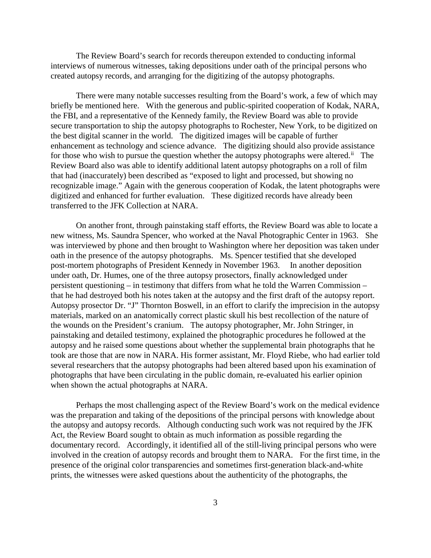The Review Board's search for records thereupon extended to conducting informal interviews of numerous witnesses, taking depositions under oath of the principal persons who created autopsy records, and arranging for the digitizing of the autopsy photographs.

There were many notable successes resulting from the Board's work, a few of which may briefly be mentioned here. With the generous and public-spirited cooperation of Kodak, NARA, the FBI, and a representative of the Kennedy family, the Review Board was able to provide secure transportation to ship the autopsy photographs to Rochester, New York, to be digitized on the best digital scanner in the world. The digitized images will be capable of further enhancement as technology and science advance. The digitizing should also provide assistance for those who wish to pursue the question whether the autopsy photographs were altered.<sup>[ii](#page-7-1)</sup> The Review Board also was able to identify additional latent autopsy photographs on a roll of film that had (inaccurately) been described as "exposed to light and processed, but showing no recognizable image." Again with the generous cooperation of Kodak, the latent photographs were digitized and enhanced for further evaluation. These digitized records have already been transferred to the JFK Collection at NARA.

On another front, through painstaking staff efforts, the Review Board was able to locate a new witness, Ms. Saundra Spencer, who worked at the Naval Photographic Center in 1963. She was interviewed by phone and then brought to Washington where her deposition was taken under oath in the presence of the autopsy photographs. Ms. Spencer testified that she developed post-mortem photographs of President Kennedy in November 1963. In another deposition under oath, Dr. Humes, one of the three autopsy prosectors, finally acknowledged under persistent questioning – in testimony that differs from what he told the Warren Commission – that he had destroyed both his notes taken at the autopsy and the first draft of the autopsy report. Autopsy prosector Dr. "J" Thornton Boswell, in an effort to clarify the imprecision in the autopsy materials, marked on an anatomically correct plastic skull his best recollection of the nature of the wounds on the President's cranium. The autopsy photographer, Mr. John Stringer, in painstaking and detailed testimony, explained the photographic procedures he followed at the autopsy and he raised some questions about whether the supplemental brain photographs that he took are those that are now in NARA. His former assistant, Mr. Floyd Riebe, who had earlier told several researchers that the autopsy photographs had been altered based upon his examination of photographs that have been circulating in the public domain, re-evaluated his earlier opinion when shown the actual photographs at NARA.

Perhaps the most challenging aspect of the Review Board's work on the medical evidence was the preparation and taking of the depositions of the principal persons with knowledge about the autopsy and autopsy records. Although conducting such work was not required by the JFK Act, the Review Board sought to obtain as much information as possible regarding the documentary record. Accordingly, it identified all of the still-living principal persons who were involved in the creation of autopsy records and brought them to NARA. For the first time, in the presence of the original color transparencies and sometimes first-generation black-and-white prints, the witnesses were asked questions about the authenticity of the photographs, the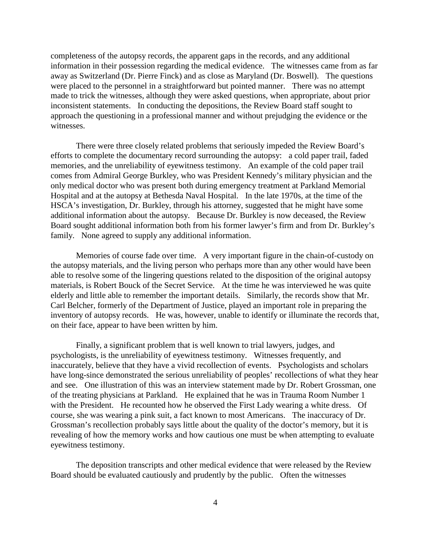completeness of the autopsy records, the apparent gaps in the records, and any additional information in their possession regarding the medical evidence. The witnesses came from as far away as Switzerland (Dr. Pierre Finck) and as close as Maryland (Dr. Boswell). The questions were placed to the personnel in a straightforward but pointed manner. There was no attempt made to trick the witnesses, although they were asked questions, when appropriate, about prior inconsistent statements. In conducting the depositions, the Review Board staff sought to approach the questioning in a professional manner and without prejudging the evidence or the witnesses.

There were three closely related problems that seriously impeded the Review Board's efforts to complete the documentary record surrounding the autopsy: a cold paper trail, faded memories, and the unreliability of eyewitness testimony. An example of the cold paper trail comes from Admiral George Burkley, who was President Kennedy's military physician and the only medical doctor who was present both during emergency treatment at Parkland Memorial Hospital and at the autopsy at Bethesda Naval Hospital. In the late 1970s, at the time of the HSCA's investigation, Dr. Burkley, through his attorney, suggested that he might have some additional information about the autopsy. Because Dr. Burkley is now deceased, the Review Board sought additional information both from his former lawyer's firm and from Dr. Burkley's family. None agreed to supply any additional information.

Memories of course fade over time. A very important figure in the chain-of-custody on the autopsy materials, and the living person who perhaps more than any other would have been able to resolve some of the lingering questions related to the disposition of the original autopsy materials, is Robert Bouck of the Secret Service. At the time he was interviewed he was quite elderly and little able to remember the important details. Similarly, the records show that Mr. Carl Belcher, formerly of the Department of Justice, played an important role in preparing the inventory of autopsy records. He was, however, unable to identify or illuminate the records that, on their face, appear to have been written by him.

Finally, a significant problem that is well known to trial lawyers, judges, and psychologists, is the unreliability of eyewitness testimony. Witnesses frequently, and inaccurately, believe that they have a vivid recollection of events. Psychologists and scholars have long-since demonstrated the serious unreliability of peoples' recollections of what they hear and see. One illustration of this was an interview statement made by Dr. Robert Grossman, one of the treating physicians at Parkland. He explained that he was in Trauma Room Number 1 with the President. He recounted how he observed the First Lady wearing a white dress. Of course, she was wearing a pink suit, a fact known to most Americans. The inaccuracy of Dr. Grossman's recollection probably says little about the quality of the doctor's memory, but it is revealing of how the memory works and how cautious one must be when attempting to evaluate eyewitness testimony.

The deposition transcripts and other medical evidence that were released by the Review Board should be evaluated cautiously and prudently by the public. Often the witnesses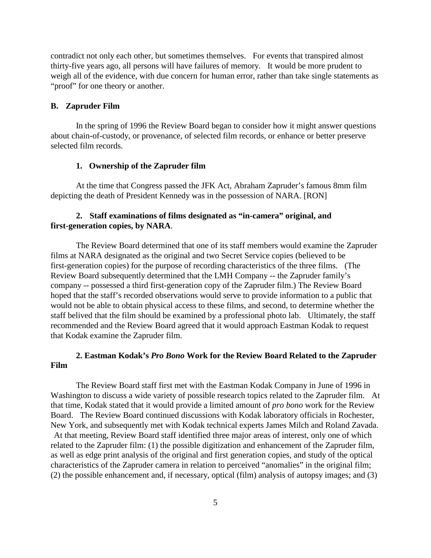contradict not only each other, but sometimes themselves. For events that transpired almost thirty-five years ago, all persons will have failures of memory. It would be more prudent to weigh all of the evidence, with due concern for human error, rather than take single statements as "proof" for one theory or another.

#### **B. Zapruder Film**

In the spring of 1996 the Review Board began to consider how it might answer questions about chain-of-custody, or provenance, of selected film records, or enhance or better preserve selected film records.

#### **1. Ownership of the Zapruder film**

At the time that Congress passed the JFK Act, Abraham Zapruder's famous 8mm film depicting the death of President Kennedy was in the possession of NARA. [RON]

### **2. Staff examinations of films designated as "in-camera" original, and first-generation copies, by NARA**.

The Review Board determined that one of its staff members would examine the Zapruder films at NARA designated as the original and two Secret Service copies (believed to be first-generation copies) for the purpose of recording characteristics of the three films. (The Review Board subsequently determined that the LMH Company -- the Zapruder family's company -- possessed a third first-generation copy of the Zapruder film.) The Review Board hoped that the staff's recorded observations would serve to provide information to a public that would not be able to obtain physical access to these films, and second, to determine whether the staff belived that the film should be examined by a professional photo lab. Ultimately, the staff recommended and the Review Board agreed that it would approach Eastman Kodak to request that Kodak examine the Zapruder film.

### **2. Eastman Kodak's** *Pro Bono* **Work for the Review Board Related to the Zapruder Film**

The Review Board staff first met with the Eastman Kodak Company in June of 1996 in Washington to discuss a wide variety of possible research topics related to the Zapruder film. At that time, Kodak stated that it would provide a limited amount of *pro bono* work for the Review Board. The Review Board continued discussions with Kodak laboratory officials in Rochester, New York, and subsequently met with Kodak technical experts James Milch and Roland Zavada.

At that meeting, Review Board staff identified three major areas of interest, only one of which related to the Zapruder film: (1) the possible digitization and enhancement of the Zapruder film, as well as edge print analysis of the original and first generation copies, and study of the optical characteristics of the Zapruder camera in relation to perceived "anomalies" in the original film; (2) the possible enhancement and, if necessary, optical (film) analysis of autopsy images; and (3)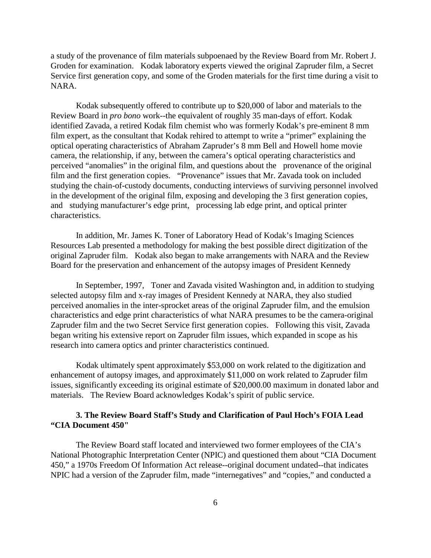a study of the provenance of film materials subpoenaed by the Review Board from Mr. Robert J. Groden for examination. Kodak laboratory experts viewed the original Zapruder film, a Secret Service first generation copy, and some of the Groden materials for the first time during a visit to NARA.

Kodak subsequently offered to contribute up to \$20,000 of labor and materials to the Review Board in *pro bono* work--the equivalent of roughly 35 man-days of effort. Kodak identified Zavada, a retired Kodak film chemist who was formerly Kodak's pre-eminent 8 mm film expert, as the consultant that Kodak rehired to attempt to write a "primer" explaining the optical operating characteristics of Abraham Zapruder's 8 mm Bell and Howell home movie camera, the relationship, if any, between the camera's optical operating characteristics and perceived "anomalies" in the original film, and questions about the provenance of the original film and the first generation copies. "Provenance" issues that Mr. Zavada took on included studying the chain-of-custody documents, conducting interviews of surviving personnel involved in the development of the original film, exposing and developing the 3 first generation copies, and studying manufacturer's edge print, processing lab edge print, and optical printer characteristics.

In addition, Mr. James K. Toner of Laboratory Head of Kodak's Imaging Sciences Resources Lab presented a methodology for making the best possible direct digitization of the original Zapruder film. Kodak also began to make arrangements with NARA and the Review Board for the preservation and enhancement of the autopsy images of President Kennedy

In September, 1997, Toner and Zavada visited Washington and, in addition to studying selected autopsy film and x-ray images of President Kennedy at NARA, they also studied perceived anomalies in the inter-sprocket areas of the original Zapruder film, and the emulsion characteristics and edge print characteristics of what NARA presumes to be the camera-original Zapruder film and the two Secret Service first generation copies. Following this visit, Zavada began writing his extensive report on Zapruder film issues, which expanded in scope as his research into camera optics and printer characteristics continued.

Kodak ultimately spent approximately \$53,000 on work related to the digitization and enhancement of autopsy images, and approximately \$11,000 on work related to Zapruder film issues, significantly exceeding its original estimate of \$20,000.00 maximum in donated labor and materials. The Review Board acknowledges Kodak's spirit of public service.

### **3. The Review Board Staff's Study and Clarification of Paul Hoch's FOIA Lead "CIA Document 450"**

The Review Board staff located and interviewed two former employees of the CIA's National Photographic Interpretation Center (NPIC) and questioned them about "CIA Document 450," a 1970s Freedom Of Information Act release--original document undated--that indicates NPIC had a version of the Zapruder film, made "internegatives" and "copies," and conducted a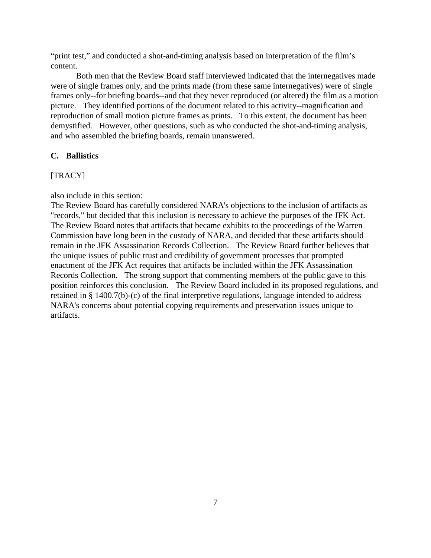"print test," and conducted a shot-and-timing analysis based on interpretation of the film's content.

Both men that the Review Board staff interviewed indicated that the internegatives made were of single frames only, and the prints made (from these same internegatives) were of single frames only--for briefing boards--and that they never reproduced (or altered) the film as a motion picture. They identified portions of the document related to this activity--magnification and reproduction of small motion picture frames as prints. To this extent, the document has been demystified. However, other questions, such as who conducted the shot-and-timing analysis, and who assembled the briefing boards, remain unanswered.

### **C. Ballistics**

### [TRACY]

also include in this section:

The Review Board has carefully considered NARA's objections to the inclusion of artifacts as "records," but decided that this inclusion is necessary to achieve the purposes of the JFK Act. The Review Board notes that artifacts that became exhibits to the proceedings of the Warren Commission have long been in the custody of NARA, and decided that these artifacts should remain in the JFK Assassination Records Collection. The Review Board further believes that the unique issues of public trust and credibility of government processes that prompted enactment of the JFK Act requires that artifacts be included within the JFK Assassination Records Collection. The strong support that commenting members of the public gave to this position reinforces this conclusion. The Review Board included in its proposed regulations, and retained in § 1400.7(b)-(c) of the final interpretive regulations, language intended to address NARA's concerns about potential copying requirements and preservation issues unique to artifacts.